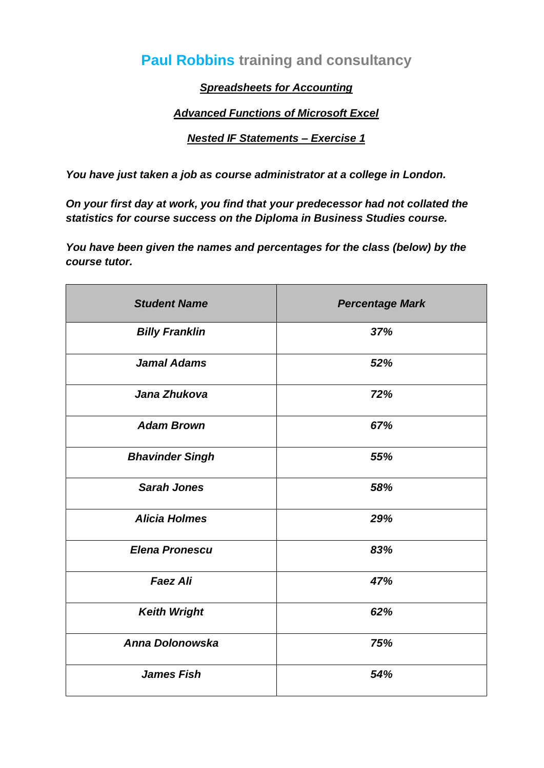# **Paul Robbins training and consultancy**

# *Spreadsheets for Accounting*

# *Advanced Functions of Microsoft Excel*

#### *Nested IF Statements – Exercise 1*

*You have just taken a job as course administrator at a college in London.*

*On your first day at work, you find that your predecessor had not collated the statistics for course success on the Diploma in Business Studies course.*

*You have been given the names and percentages for the class (below) by the course tutor.*

| <b>Student Name</b>    | <b>Percentage Mark</b> |
|------------------------|------------------------|
| <b>Billy Franklin</b>  | 37%                    |
| <b>Jamal Adams</b>     | 52%                    |
| Jana Zhukova           | 72%                    |
| <b>Adam Brown</b>      | 67%                    |
| <b>Bhavinder Singh</b> | 55%                    |
| <b>Sarah Jones</b>     | 58%                    |
| <b>Alicia Holmes</b>   | 29%                    |
| <b>Elena Pronescu</b>  | 83%                    |
| <b>Faez Ali</b>        | 47%                    |
| <b>Keith Wright</b>    | 62%                    |
| Anna Dolonowska        | 75%                    |
| <b>James Fish</b>      | 54%                    |